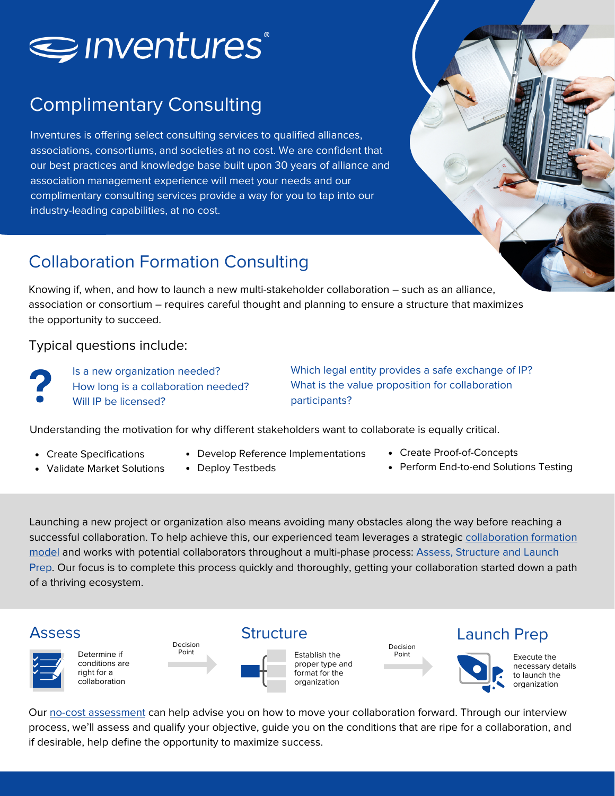

# Complimentary Consulting

Inventures is offering select consulting services to qualified alliances, associations, consortiums, and societies at no cost. We are confident that our best practices and knowledge base built upon 30 years of alliance and association management experience will meet your needs and our complimentary consulting services provide a way for you to tap into our industry-leading capabilities, at no cost.

### Collaboration Formation Consulting

Knowing if, when, and how to launch a new multi-stakeholder collaboration – such as an alliance, association or consortium – requires careful thought and planning to ensure a structure that maximizes the opportunity to succeed.

#### Typical questions include:

Is a new organization needed? How long is a collaboration needed? Will IP be licensed?

Which legal entity provides a safe exchange of IP? What is the value proposition for collaboration participants?

Understanding the motivation for why different stakeholders want to collaborate is equally critical.

- Create Specifications
- Validate Market Solutions
- Develop Reference Implementations
- Deploy Testbeds
- Create Proof-of-Concepts
- Perform End-to-end Solutions Testing

Launching a new project or organization also means avoiding many obstacles along the way before reaching a successful [collaboration.](https://www.inventures.com/Services/Alliance-Formation-Services) To help achieve this, our experienced team leverages a strategic collaboration formation model and works with potential collaborators throughout a multi-phase process: Assess, Structure and Launch Prep. Our focus is to complete this process quickly and thoroughly, getting your collaboration started down a path of a thriving ecosystem.



Our no-cost [assessment](https://collabforum.org/collaboration) can help advise you on how to move your collaboration forward. Through our interview process, we'll assess and qualify your objective, guide you on the conditions that are ripe for a collaboration, and if desirable, help define the opportunity to maximize success.